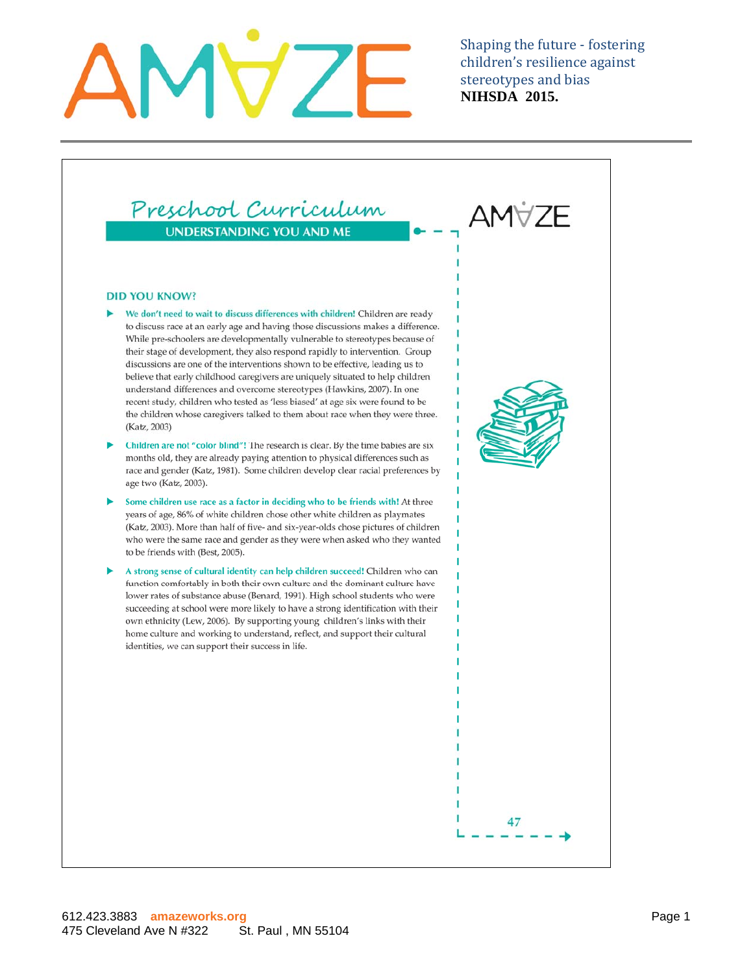Preschool Curriculum **UNDERSTANDING YOU AND ME** 

### **DID YOU KNOW?**

- We don't need to wait to discuss differences with children! Children are ready to discuss race at an early age and having those discussions makes a difference. While pre-schoolers are developmentally vulnerable to stereotypes because of their stage of development, they also respond rapidly to intervention. Group discussions are one of the interventions shown to be effective, leading us to believe that early childhood caregivers are uniquely situated to help children understand differences and overcome stereotypes (Hawkins, 2007). In one recent study, children who tested as 'less biased' at age six were found to be the children whose caregivers talked to them about race when they were three. (Katz, 2003)
- Children are not "color blind"! The research is clear. By the time babies are six months old, they are already paying attention to physical differences such as race and gender (Katz, 1981). Some children develop clear racial preferences by age two (Katz, 2003).
- Some children use race as a factor in deciding who to be friends with! At three years of age, 86% of white children chose other white children as playmates (Katz, 2003). More than half of five- and six-year-olds chose pictures of children who were the same race and gender as they were when asked who they wanted to be friends with (Best, 2005).
- A strong sense of cultural identity can help children succeed! Children who can function comfortably in both their own culture and the dominant culture have lower rates of substance abuse (Benard, 1991). High school students who were succeeding at school were more likely to have a strong identification with their own ethnicity (Lew, 2006). By supporting young children's links with their home culture and working to understand, reflect, and support their cultural identities, we can support their success in life.

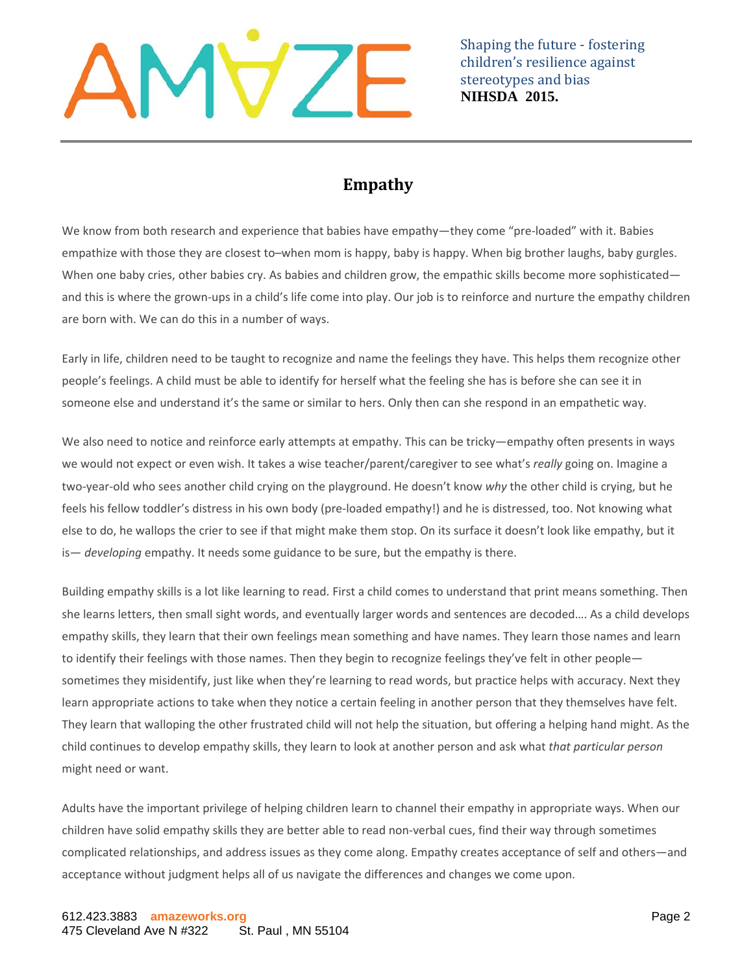

### **Empathy**

We know from both research and experience that babies have empathy—they come "pre-loaded" with it. Babies empathize with those they are closest to–when mom is happy, baby is happy. When big brother laughs, baby gurgles. When one baby cries, other babies cry. As babies and children grow, the empathic skills become more sophisticated and this is where the grown-ups in a child's life come into play. Our job is to reinforce and nurture the empathy children are born with. We can do this in a number of ways.

Early in life, children need to be taught to recognize and name the feelings they have. This helps them recognize other people's feelings. A child must be able to identify for herself what the feeling she has is before she can see it in someone else and understand it's the same or similar to hers. Only then can she respond in an empathetic way.

We also need to notice and reinforce early attempts at empathy. This can be tricky—empathy often presents in ways we would not expect or even wish. It takes a wise teacher/parent/caregiver to see what's *really* going on. Imagine a two‐year‐old who sees another child crying on the playground. He doesn't know *why* the other child is crying, but he feels his fellow toddler's distress in his own body (pre-loaded empathy!) and he is distressed, too. Not knowing what else to do, he wallops the crier to see if that might make them stop. On its surface it doesn't look like empathy, but it is— *developing* empathy. It needs some guidance to be sure, but the empathy is there.

Building empathy skills is a lot like learning to read. First a child comes to understand that print means something. Then she learns letters, then small sight words, and eventually larger words and sentences are decoded…. As a child develops empathy skills, they learn that their own feelings mean something and have names. They learn those names and learn to identify their feelings with those names. Then they begin to recognize feelings they've felt in other people sometimes they misidentify, just like when they're learning to read words, but practice helps with accuracy. Next they learn appropriate actions to take when they notice a certain feeling in another person that they themselves have felt. They learn that walloping the other frustrated child will not help the situation, but offering a helping hand might. As the child continues to develop empathy skills, they learn to look at another person and ask what *that particular person* might need or want.

Adults have the important privilege of helping children learn to channel their empathy in appropriate ways. When our children have solid empathy skills they are better able to read non‐verbal cues, find their way through sometimes complicated relationships, and address issues as they come along. Empathy creates acceptance of self and others—and acceptance without judgment helps all of us navigate the differences and changes we come upon.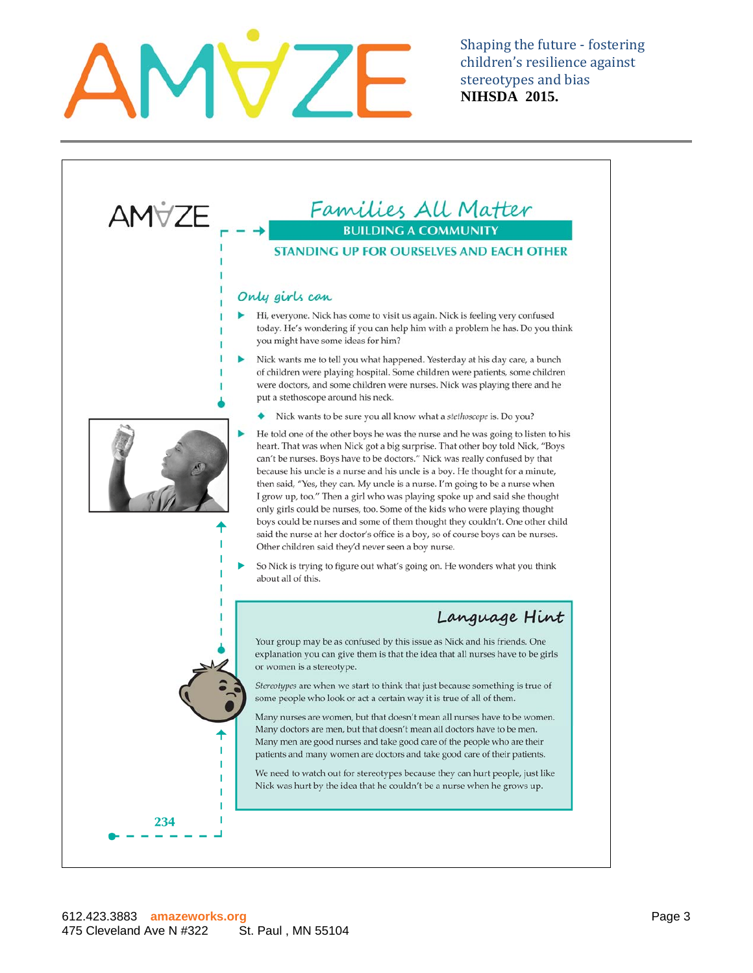